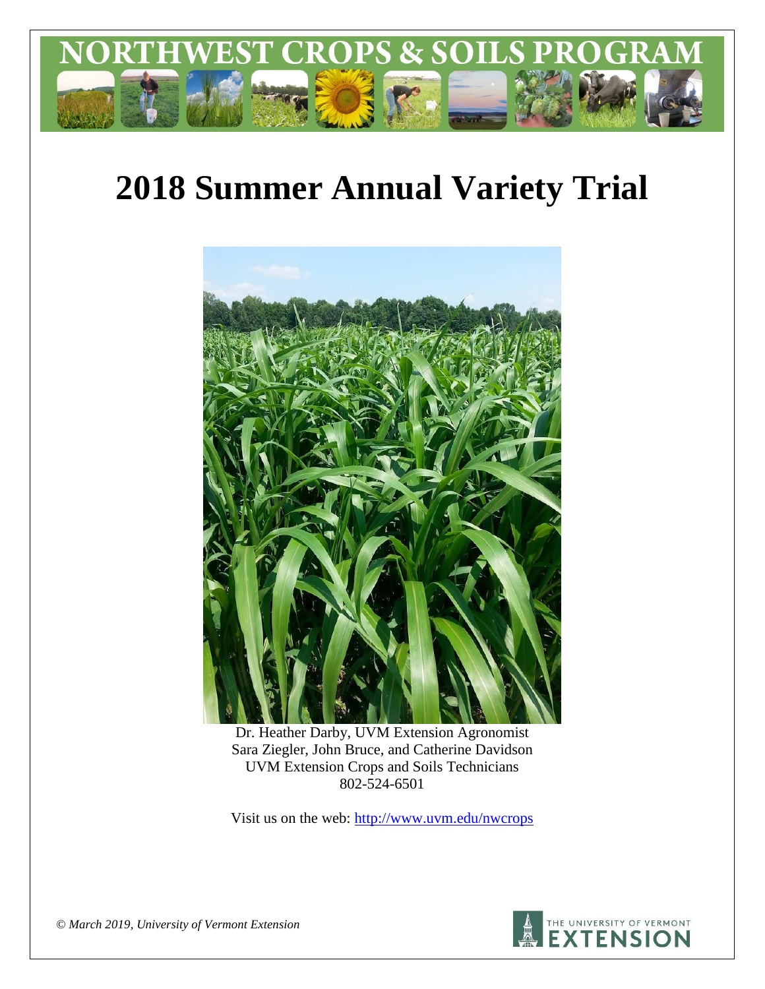

# **2018 Summer Annual Variety Trial**



Dr. Heather Darby, UVM Extension Agronomist Sara Ziegler, John Bruce, and Catherine Davidson UVM Extension Crops and Soils Technicians 802-524-6501

Visit us on the web: <http://www.uvm.edu/nwcrops>



*© March 2019, University of Vermont Extension*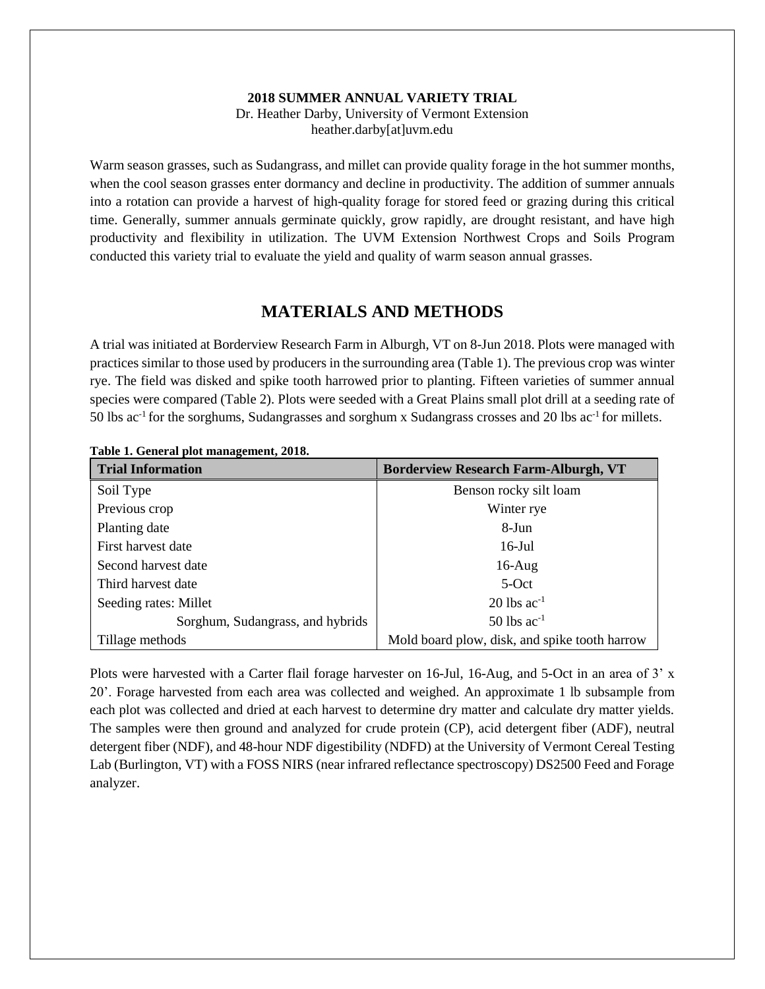#### **2018 SUMMER ANNUAL VARIETY TRIAL**

Dr. Heather Darby, University of Vermont Extension heather.darby[at]uvm.edu

Warm season grasses, such as Sudangrass, and millet can provide quality forage in the hot summer months, when the cool season grasses enter dormancy and decline in productivity. The addition of summer annuals into a rotation can provide a harvest of high-quality forage for stored feed or grazing during this critical time. Generally, summer annuals germinate quickly, grow rapidly, are drought resistant, and have high productivity and flexibility in utilization. The UVM Extension Northwest Crops and Soils Program conducted this variety trial to evaluate the yield and quality of warm season annual grasses.

# **MATERIALS AND METHODS**

A trial was initiated at Borderview Research Farm in Alburgh, VT on 8-Jun 2018. Plots were managed with practices similar to those used by producers in the surrounding area (Table 1). The previous crop was winter rye. The field was disked and spike tooth harrowed prior to planting. Fifteen varieties of summer annual species were compared (Table 2). Plots were seeded with a Great Plains small plot drill at a seeding rate of 50 lbs ac<sup>-1</sup> for the sorghums, Sudangrasses and sorghum x Sudangrass crosses and 20 lbs ac<sup>-1</sup> for millets.

| <b>Trial Information</b>         | <b>Borderview Research Farm-Alburgh, VT</b>   |
|----------------------------------|-----------------------------------------------|
| Soil Type                        | Benson rocky silt loam                        |
| Previous crop                    | Winter rye                                    |
| Planting date                    | 8-Jun                                         |
| First harvest date               | $16$ -Jul                                     |
| Second harvest date              | $16$ -Aug                                     |
| Third harvest date               | $5-Oct$                                       |
| Seeding rates: Millet            | $20$ lbs ac <sup>-1</sup>                     |
| Sorghum, Sudangrass, and hybrids | $50$ lbs ac <sup>-1</sup>                     |
| Tillage methods                  | Mold board plow, disk, and spike tooth harrow |

**Table 1. General plot management, 2018.**

Plots were harvested with a Carter flail forage harvester on 16-Jul, 16-Aug, and 5-Oct in an area of 3' x 20'. Forage harvested from each area was collected and weighed. An approximate 1 lb subsample from each plot was collected and dried at each harvest to determine dry matter and calculate dry matter yields. The samples were then ground and analyzed for crude protein (CP), acid detergent fiber (ADF), neutral detergent fiber (NDF), and 48-hour NDF digestibility (NDFD) at the University of Vermont Cereal Testing Lab (Burlington, VT) with a FOSS NIRS (near infrared reflectance spectroscopy) DS2500 Feed and Forage analyzer.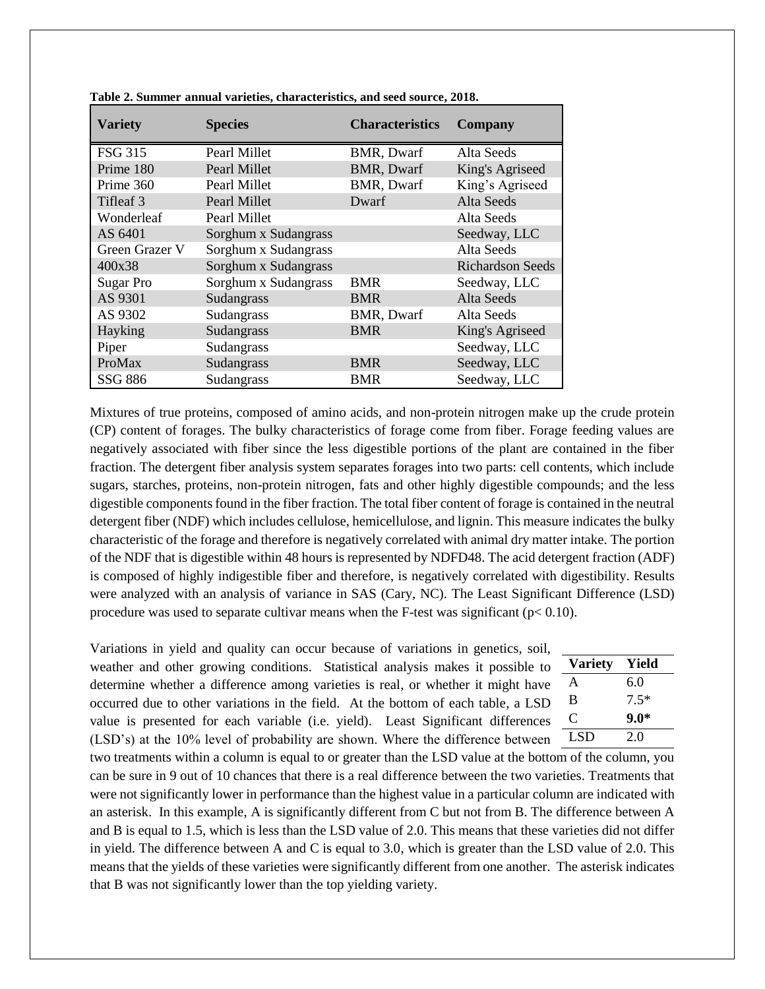| <b>Variety</b>   | <b>Species</b>       | <b>Characteristics</b> | Company                 |
|------------------|----------------------|------------------------|-------------------------|
| <b>FSG 315</b>   | Pearl Millet         | BMR, Dwarf             | Alta Seeds              |
| Prime 180        | Pearl Millet         | <b>BMR, Dwarf</b>      | King's Agriseed         |
| Prime 360        | Pearl Millet         | <b>BMR, Dwarf</b>      | King's Agriseed         |
| Tifleaf 3        | Pearl Millet         | Dwarf                  | Alta Seeds              |
| Wonderleaf       | Pearl Millet         |                        | Alta Seeds              |
| AS 6401          | Sorghum x Sudangrass |                        | Seedway, LLC            |
| Green Grazer V   | Sorghum x Sudangrass |                        | Alta Seeds              |
| 400x38           | Sorghum x Sudangrass |                        | <b>Richardson Seeds</b> |
| <b>Sugar Pro</b> | Sorghum x Sudangrass | <b>BMR</b>             | Seedway, LLC            |
| AS 9301          | Sudangrass           | <b>BMR</b>             | Alta Seeds              |
| AS 9302          | Sudangrass           | <b>BMR, Dwarf</b>      | Alta Seeds              |
| Hayking          | Sudangrass           | <b>BMR</b>             | King's Agriseed         |
| Piper            | Sudangrass           |                        | Seedway, LLC            |
| ProMax           | Sudangrass           | <b>BMR</b>             | Seedway, LLC            |
| <b>SSG 886</b>   | Sudangrass           | <b>BMR</b>             | Seedway, LLC            |

**Table 2. Summer annual varieties, characteristics, and seed source, 2018.** 

Mixtures of true proteins, composed of amino acids, and non-protein nitrogen make up the crude protein (CP) content of forages. The bulky characteristics of forage come from fiber. Forage feeding values are negatively associated with fiber since the less digestible portions of the plant are contained in the fiber fraction. The detergent fiber analysis system separates forages into two parts: cell contents, which include sugars, starches, proteins, non-protein nitrogen, fats and other highly digestible compounds; and the less digestible components found in the fiber fraction. The total fiber content of forage is contained in the neutral detergent fiber (NDF) which includes cellulose, hemicellulose, and lignin. This measure indicates the bulky characteristic of the forage and therefore is negatively correlated with animal dry matter intake. The portion of the NDF that is digestible within 48 hours is represented by NDFD48. The acid detergent fraction (ADF) is composed of highly indigestible fiber and therefore, is negatively correlated with digestibility. Results were analyzed with an analysis of variance in SAS (Cary, NC). The Least Significant Difference (LSD) procedure was used to separate cultivar means when the F-test was significant ( $p < 0.10$ ).

Variations in yield and quality can occur because of variations in genetics, soil, weather and other growing conditions. Statistical analysis makes it possible to determine whether a difference among varieties is real, or whether it might have occurred due to other variations in the field. At the bottom of each table, a LSD value is presented for each variable (i.e. yield). Least Significant differences (LSD's) at the 10% level of probability are shown. Where the difference between

| ١ | <b>Variety</b> | Yield  |
|---|----------------|--------|
|   | A              | 6.0    |
|   | B              | $7.5*$ |
| ζ | C              | $9.0*$ |
|   | LSD            | 2.0    |

two treatments within a column is equal to or greater than the LSD value at the bottom of the column, you can be sure in 9 out of 10 chances that there is a real difference between the two varieties. Treatments that were not significantly lower in performance than the highest value in a particular column are indicated with an asterisk. In this example, A is significantly different from C but not from B. The difference between A and B is equal to 1.5, which is less than the LSD value of 2.0. This means that these varieties did not differ in yield. The difference between A and C is equal to 3.0, which is greater than the LSD value of 2.0. This means that the yields of these varieties were significantly different from one another. The asterisk indicates that B was not significantly lower than the top yielding variety.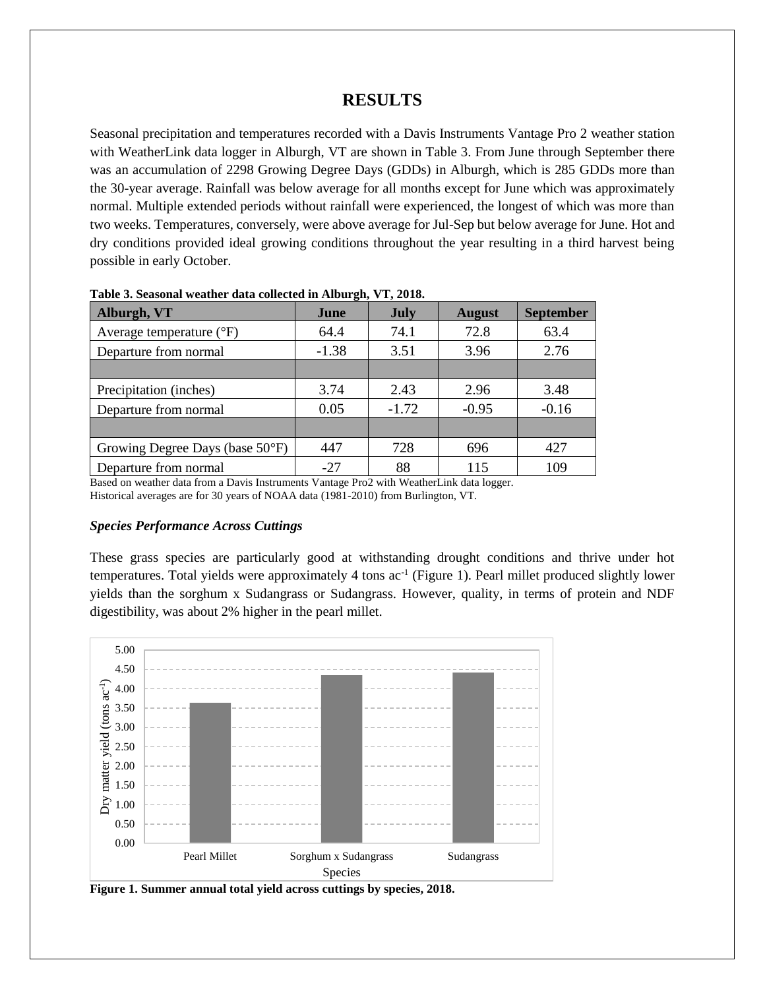## **RESULTS**

Seasonal precipitation and temperatures recorded with a Davis Instruments Vantage Pro 2 weather station with WeatherLink data logger in Alburgh, VT are shown in Table 3. From June through September there was an accumulation of 2298 Growing Degree Days (GDDs) in Alburgh, which is 285 GDDs more than the 30-year average. Rainfall was below average for all months except for June which was approximately normal. Multiple extended periods without rainfall were experienced, the longest of which was more than two weeks. Temperatures, conversely, were above average for Jul-Sep but below average for June. Hot and dry conditions provided ideal growing conditions throughout the year resulting in a third harvest being possible in early October.

| Alburgh, VT                     | June    | <b>July</b> | <b>August</b> | <b>September</b> |
|---------------------------------|---------|-------------|---------------|------------------|
| Average temperature (°F)        | 64.4    | 74.1        | 72.8          | 63.4             |
| Departure from normal           | $-1.38$ | 3.51        | 3.96          | 2.76             |
|                                 |         |             |               |                  |
| Precipitation (inches)          | 3.74    | 2.43        | 2.96          | 3.48             |
| Departure from normal           | 0.05    | $-1.72$     | $-0.95$       | $-0.16$          |
|                                 |         |             |               |                  |
| Growing Degree Days (base 50°F) | 447     | 728         | 696           | 427              |
| Departure from normal           | $-27$   | 88          | 115           | 109              |

**Table 3. Seasonal weather data collected in Alburgh, VT, 2018.**

Based on weather data from a Davis Instruments Vantage Pro2 with WeatherLink data logger. Historical averages are for 30 years of NOAA data (1981-2010) from Burlington, VT.

#### *Species Performance Across Cuttings*

These grass species are particularly good at withstanding drought conditions and thrive under hot temperatures. Total yields were approximately 4 tons ac<sup>-1</sup> (Figure 1). Pearl millet produced slightly lower yields than the sorghum x Sudangrass or Sudangrass. However, quality, in terms of protein and NDF digestibility, was about 2% higher in the pearl millet.



**Figure 1. Summer annual total yield across cuttings by species, 2018.**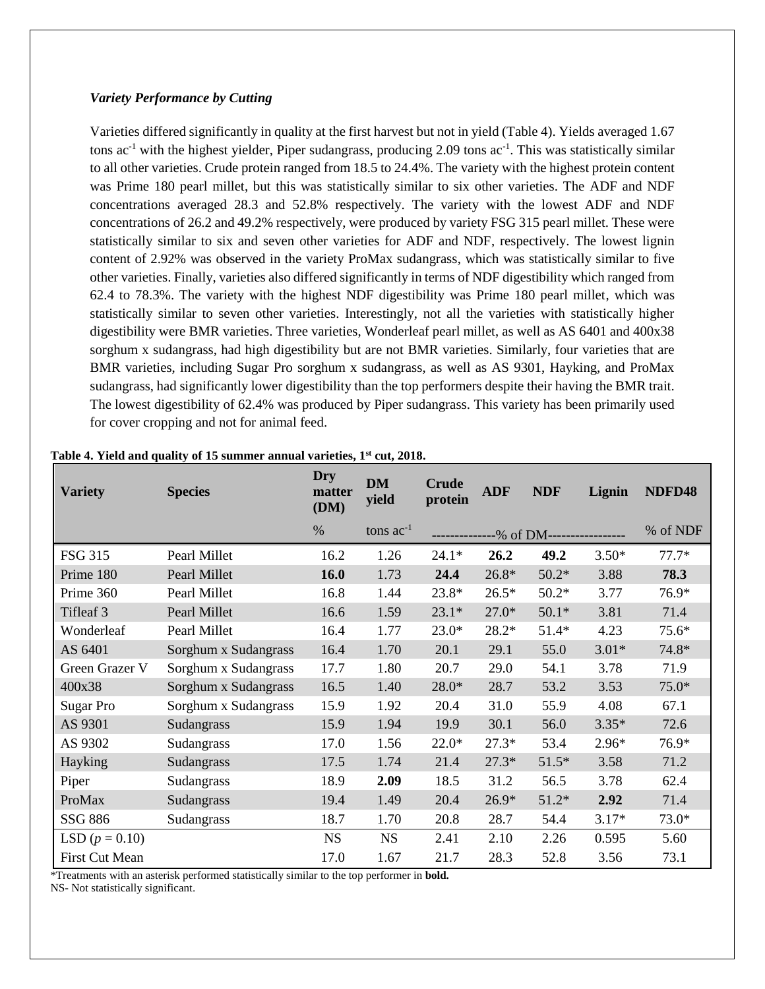#### *Variety Performance by Cutting*

Varieties differed significantly in quality at the first harvest but not in yield (Table 4). Yields averaged 1.67 tons  $ac^{-1}$  with the highest yielder, Piper sudangrass, producing 2.09 tons  $ac^{-1}$ . This was statistically similar to all other varieties. Crude protein ranged from 18.5 to 24.4%. The variety with the highest protein content was Prime 180 pearl millet, but this was statistically similar to six other varieties. The ADF and NDF concentrations averaged 28.3 and 52.8% respectively. The variety with the lowest ADF and NDF concentrations of 26.2 and 49.2% respectively, were produced by variety FSG 315 pearl millet. These were statistically similar to six and seven other varieties for ADF and NDF, respectively. The lowest lignin content of 2.92% was observed in the variety ProMax sudangrass, which was statistically similar to five other varieties. Finally, varieties also differed significantly in terms of NDF digestibility which ranged from 62.4 to 78.3%. The variety with the highest NDF digestibility was Prime 180 pearl millet, which was statistically similar to seven other varieties. Interestingly, not all the varieties with statistically higher digestibility were BMR varieties. Three varieties, Wonderleaf pearl millet, as well as AS 6401 and 400x38 sorghum x sudangrass, had high digestibility but are not BMR varieties. Similarly, four varieties that are BMR varieties, including Sugar Pro sorghum x sudangrass, as well as AS 9301, Hayking, and ProMax sudangrass, had significantly lower digestibility than the top performers despite their having the BMR trait. The lowest digestibility of 62.4% was produced by Piper sudangrass. This variety has been primarily used for cover cropping and not for animal feed.

| <b>Variety</b>        | <b>Species</b>       | Dry<br>matter<br>(DM) | <b>DM</b><br>yield | <b>Crude</b><br>protein | <b>ADF</b>      | <b>NDF</b> | Lignin  | NDFD48   |
|-----------------------|----------------------|-----------------------|--------------------|-------------------------|-----------------|------------|---------|----------|
|                       |                      | $\%$                  | tons $ac^{-1}$     |                         | $-$ % of DM $-$ |            |         | % of NDF |
| <b>FSG 315</b>        | Pearl Millet         | 16.2                  | 1.26               | $24.1*$                 | 26.2            | 49.2       | $3.50*$ | $77.7*$  |
| Prime 180             | Pearl Millet         | 16.0                  | 1.73               | 24.4                    | $26.8*$         | $50.2*$    | 3.88    | 78.3     |
| Prime 360             | Pearl Millet         | 16.8                  | 1.44               | 23.8*                   | $26.5*$         | $50.2*$    | 3.77    | 76.9*    |
| Tifleaf 3             | Pearl Millet         | 16.6                  | 1.59               | $23.1*$                 | $27.0*$         | $50.1*$    | 3.81    | 71.4     |
| Wonderleaf            | Pearl Millet         | 16.4                  | 1.77               | $23.0*$                 | 28.2*           | $51.4*$    | 4.23    | $75.6*$  |
| AS 6401               | Sorghum x Sudangrass | 16.4                  | 1.70               | 20.1                    | 29.1            | 55.0       | $3.01*$ | 74.8*    |
| Green Grazer V        | Sorghum x Sudangrass | 17.7                  | 1.80               | 20.7                    | 29.0            | 54.1       | 3.78    | 71.9     |
| 400x38                | Sorghum x Sudangrass | 16.5                  | 1.40               | $28.0*$                 | 28.7            | 53.2       | 3.53    | $75.0*$  |
| <b>Sugar Pro</b>      | Sorghum x Sudangrass | 15.9                  | 1.92               | 20.4                    | 31.0            | 55.9       | 4.08    | 67.1     |
| AS 9301               | Sudangrass           | 15.9                  | 1.94               | 19.9                    | 30.1            | 56.0       | $3.35*$ | 72.6     |
| AS 9302               | Sudangrass           | 17.0                  | 1.56               | $22.0*$                 | $27.3*$         | 53.4       | $2.96*$ | 76.9*    |
| Hayking               | Sudangrass           | 17.5                  | 1.74               | 21.4                    | $27.3*$         | $51.5*$    | 3.58    | 71.2     |
| Piper                 | Sudangrass           | 18.9                  | 2.09               | 18.5                    | 31.2            | 56.5       | 3.78    | 62.4     |
| ProMax                | Sudangrass           | 19.4                  | 1.49               | 20.4                    | $26.9*$         | $51.2*$    | 2.92    | 71.4     |
| SSG 886               | Sudangrass           | 18.7                  | 1.70               | 20.8                    | 28.7            | 54.4       | $3.17*$ | $73.0*$  |
| LSD $(p = 0.10)$      |                      | <b>NS</b>             | <b>NS</b>          | 2.41                    | 2.10            | 2.26       | 0.595   | 5.60     |
| <b>First Cut Mean</b> |                      | 17.0                  | 1.67               | 21.7                    | 28.3            | 52.8       | 3.56    | 73.1     |

#### **Table 4. Yield and quality of 15 summer annual varieties, 1st cut, 2018.**

\*Treatments with an asterisk performed statistically similar to the top performer in **bold.**

NS- Not statistically significant.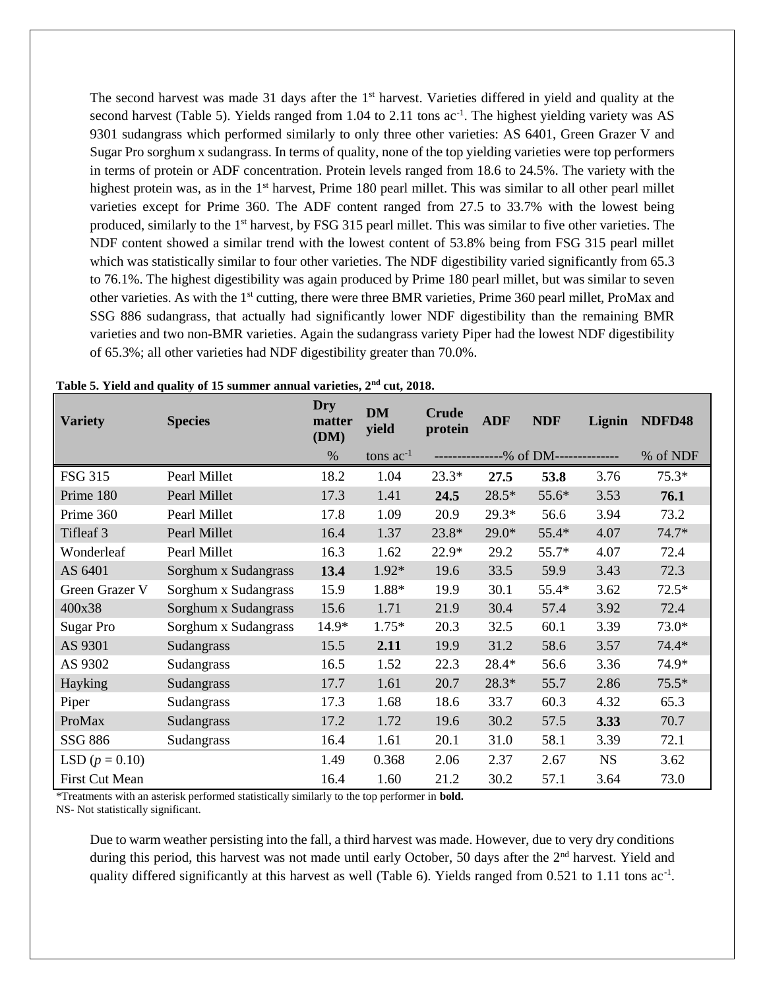The second harvest was made 31 days after the  $1<sup>st</sup>$  harvest. Varieties differed in yield and quality at the second harvest (Table 5). Yields ranged from 1.04 to 2.11 tons ac<sup>-1</sup>. The highest yielding variety was AS 9301 sudangrass which performed similarly to only three other varieties: AS 6401, Green Grazer V and Sugar Pro sorghum x sudangrass. In terms of quality, none of the top yielding varieties were top performers in terms of protein or ADF concentration. Protein levels ranged from 18.6 to 24.5%. The variety with the highest protein was, as in the  $1<sup>st</sup>$  harvest, Prime 180 pearl millet. This was similar to all other pearl millet varieties except for Prime 360. The ADF content ranged from 27.5 to 33.7% with the lowest being produced, similarly to the 1st harvest, by FSG 315 pearl millet. This was similar to five other varieties. The NDF content showed a similar trend with the lowest content of 53.8% being from FSG 315 pearl millet which was statistically similar to four other varieties. The NDF digestibility varied significantly from 65.3 to 76.1%. The highest digestibility was again produced by Prime 180 pearl millet, but was similar to seven other varieties. As with the 1<sup>st</sup> cutting, there were three BMR varieties, Prime 360 pearl millet, ProMax and SSG 886 sudangrass, that actually had significantly lower NDF digestibility than the remaining BMR varieties and two non-BMR varieties. Again the sudangrass variety Piper had the lowest NDF digestibility of 65.3%; all other varieties had NDF digestibility greater than 70.0%.

| <b>Variety</b>   | <b>Species</b>       | Dry<br>matter<br>(DM) | <b>DM</b><br>yield | <b>Crude</b><br>protein | <b>ADF</b> | <b>NDF</b> | Lignin    | NDFD48   |
|------------------|----------------------|-----------------------|--------------------|-------------------------|------------|------------|-----------|----------|
|                  |                      | $\%$                  | tons $ac^{-1}$     |                         |            | -% of DM-- |           | % of NDF |
| <b>FSG 315</b>   | Pearl Millet         | 18.2                  | 1.04               | $23.3*$                 | 27.5       | 53.8       | 3.76      | $75.3*$  |
| Prime 180        | Pearl Millet         | 17.3                  | 1.41               | 24.5                    | 28.5*      | 55.6*      | 3.53      | 76.1     |
| Prime 360        | Pearl Millet         | 17.8                  | 1.09               | 20.9                    | $29.3*$    | 56.6       | 3.94      | 73.2     |
| Tifleaf 3        | Pearl Millet         | 16.4                  | 1.37               | $23.8*$                 | $29.0*$    | 55.4*      | 4.07      | $74.7*$  |
| Wonderleaf       | Pearl Millet         | 16.3                  | 1.62               | 22.9*                   | 29.2       | 55.7*      | 4.07      | 72.4     |
| AS 6401          | Sorghum x Sudangrass | 13.4                  | 1.92*              | 19.6                    | 33.5       | 59.9       | 3.43      | 72.3     |
| Green Grazer V   | Sorghum x Sudangrass | 15.9                  | 1.88*              | 19.9                    | 30.1       | 55.4*      | 3.62      | $72.5*$  |
| 400x38           | Sorghum x Sudangrass | 15.6                  | 1.71               | 21.9                    | 30.4       | 57.4       | 3.92      | 72.4     |
| <b>Sugar Pro</b> | Sorghum x Sudangrass | 14.9*                 | $1.75*$            | 20.3                    | 32.5       | 60.1       | 3.39      | $73.0*$  |
| AS 9301          | Sudangrass           | 15.5                  | 2.11               | 19.9                    | 31.2       | 58.6       | 3.57      | 74.4*    |
| AS 9302          | Sudangrass           | 16.5                  | 1.52               | 22.3                    | 28.4*      | 56.6       | 3.36      | 74.9*    |
| Hayking          | Sudangrass           | 17.7                  | 1.61               | 20.7                    | 28.3*      | 55.7       | 2.86      | $75.5*$  |
| Piper            | Sudangrass           | 17.3                  | 1.68               | 18.6                    | 33.7       | 60.3       | 4.32      | 65.3     |
| ProMax           | Sudangrass           | 17.2                  | 1.72               | 19.6                    | 30.2       | 57.5       | 3.33      | 70.7     |
| SSG 886          | Sudangrass           | 16.4                  | 1.61               | 20.1                    | 31.0       | 58.1       | 3.39      | 72.1     |
| LSD $(p = 0.10)$ |                      | 1.49                  | 0.368              | 2.06                    | 2.37       | 2.67       | <b>NS</b> | 3.62     |
| First Cut Mean   |                      | 16.4                  | 1.60               | 21.2                    | 30.2       | 57.1       | 3.64      | 73.0     |

|  | Table 5. Yield and quality of 15 summer annual varieties, 2 <sup>nd</sup> cut, 2018. |  |  |
|--|--------------------------------------------------------------------------------------|--|--|
|--|--------------------------------------------------------------------------------------|--|--|

\*Treatments with an asterisk performed statistically similarly to the top performer in **bold.**

NS- Not statistically significant.

Due to warm weather persisting into the fall, a third harvest was made. However, due to very dry conditions during this period, this harvest was not made until early October, 50 days after the 2<sup>nd</sup> harvest. Yield and quality differed significantly at this harvest as well (Table 6). Yields ranged from  $0.521$  to  $1.11$  tons ac<sup>-1</sup>.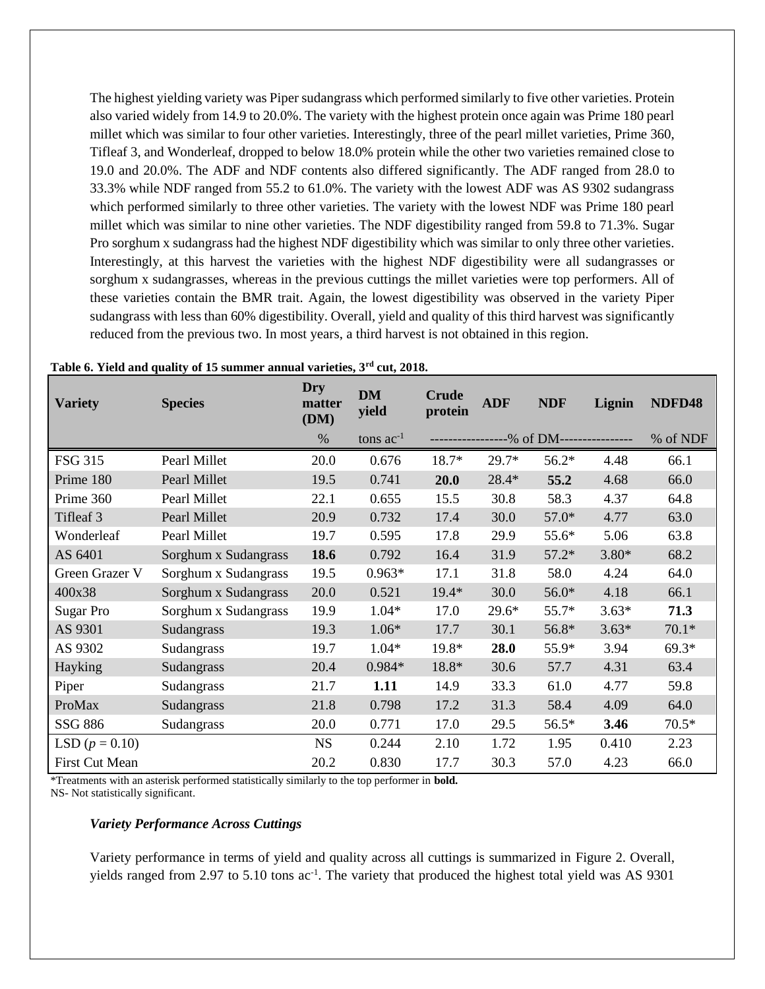The highest yielding variety was Piper sudangrass which performed similarly to five other varieties. Protein also varied widely from 14.9 to 20.0%. The variety with the highest protein once again was Prime 180 pearl millet which was similar to four other varieties. Interestingly, three of the pearl millet varieties, Prime 360, Tifleaf 3, and Wonderleaf, dropped to below 18.0% protein while the other two varieties remained close to 19.0 and 20.0%. The ADF and NDF contents also differed significantly. The ADF ranged from 28.0 to 33.3% while NDF ranged from 55.2 to 61.0%. The variety with the lowest ADF was AS 9302 sudangrass which performed similarly to three other varieties. The variety with the lowest NDF was Prime 180 pearl millet which was similar to nine other varieties. The NDF digestibility ranged from 59.8 to 71.3%. Sugar Pro sorghum x sudangrass had the highest NDF digestibility which was similar to only three other varieties. Interestingly, at this harvest the varieties with the highest NDF digestibility were all sudangrasses or sorghum x sudangrasses, whereas in the previous cuttings the millet varieties were top performers. All of these varieties contain the BMR trait. Again, the lowest digestibility was observed in the variety Piper sudangrass with less than 60% digestibility. Overall, yield and quality of this third harvest was significantly reduced from the previous two. In most years, a third harvest is not obtained in this region.

| <b>Variety</b>   | <b>Species</b>       | Dry<br>matter<br>(DM) | <b>DM</b><br>yield | <b>Crude</b><br>protein | <b>ADF</b> | <b>NDF</b>                               | Lignin  | NDFD48   |
|------------------|----------------------|-----------------------|--------------------|-------------------------|------------|------------------------------------------|---------|----------|
|                  |                      | $\%$                  | tons $ac^{-1}$     |                         |            | -----------------% of DM---------------- |         | % of NDF |
| FSG 315          | Pearl Millet         | 20.0                  | 0.676              | $18.7*$                 | $29.7*$    | $56.2*$                                  | 4.48    | 66.1     |
| Prime 180        | Pearl Millet         | 19.5                  | 0.741              | 20.0                    | 28.4*      | 55.2                                     | 4.68    | 66.0     |
| Prime 360        | Pearl Millet         | 22.1                  | 0.655              | 15.5                    | 30.8       | 58.3                                     | 4.37    | 64.8     |
| Tifleaf 3        | Pearl Millet         | 20.9                  | 0.732              | 17.4                    | 30.0       | $57.0*$                                  | 4.77    | 63.0     |
| Wonderleaf       | Pearl Millet         | 19.7                  | 0.595              | 17.8                    | 29.9       | 55.6*                                    | 5.06    | 63.8     |
| AS 6401          | Sorghum x Sudangrass | 18.6                  | 0.792              | 16.4                    | 31.9       | $57.2*$                                  | $3.80*$ | 68.2     |
| Green Grazer V   | Sorghum x Sudangrass | 19.5                  | $0.963*$           | 17.1                    | 31.8       | 58.0                                     | 4.24    | 64.0     |
| 400x38           | Sorghum x Sudangrass | 20.0                  | 0.521              | $19.4*$                 | 30.0       | $56.0*$                                  | 4.18    | 66.1     |
| Sugar Pro        | Sorghum x Sudangrass | 19.9                  | $1.04*$            | 17.0                    | $29.6*$    | 55.7*                                    | $3.63*$ | 71.3     |
| AS 9301          | Sudangrass           | 19.3                  | $1.06*$            | 17.7                    | 30.1       | 56.8*                                    | $3.63*$ | $70.1*$  |
| AS 9302          | Sudangrass           | 19.7                  | $1.04*$            | 19.8*                   | 28.0       | 55.9*                                    | 3.94    | $69.3*$  |
| Hayking          | Sudangrass           | 20.4                  | 0.984*             | 18.8*                   | 30.6       | 57.7                                     | 4.31    | 63.4     |
| Piper            | Sudangrass           | 21.7                  | 1.11               | 14.9                    | 33.3       | 61.0                                     | 4.77    | 59.8     |
| ProMax           | Sudangrass           | 21.8                  | 0.798              | 17.2                    | 31.3       | 58.4                                     | 4.09    | 64.0     |
| SSG 886          | Sudangrass           | 20.0                  | 0.771              | 17.0                    | 29.5       | 56.5*                                    | 3.46    | $70.5*$  |
| LSD $(p = 0.10)$ |                      | <b>NS</b>             | 0.244              | 2.10                    | 1.72       | 1.95                                     | 0.410   | 2.23     |
| First Cut Mean   |                      | 20.2                  | 0.830              | 17.7                    | 30.3       | 57.0                                     | 4.23    | 66.0     |

### **Table 6. Yield and quality of 15 summer annual varieties, 3rd cut, 2018.**

\*Treatments with an asterisk performed statistically similarly to the top performer in **bold.**

NS- Not statistically significant.

#### *Variety Performance Across Cuttings*

Variety performance in terms of yield and quality across all cuttings is summarized in Figure 2. Overall, yields ranged from 2.97 to 5.10 tons  $ac^{-1}$ . The variety that produced the highest total yield was AS 9301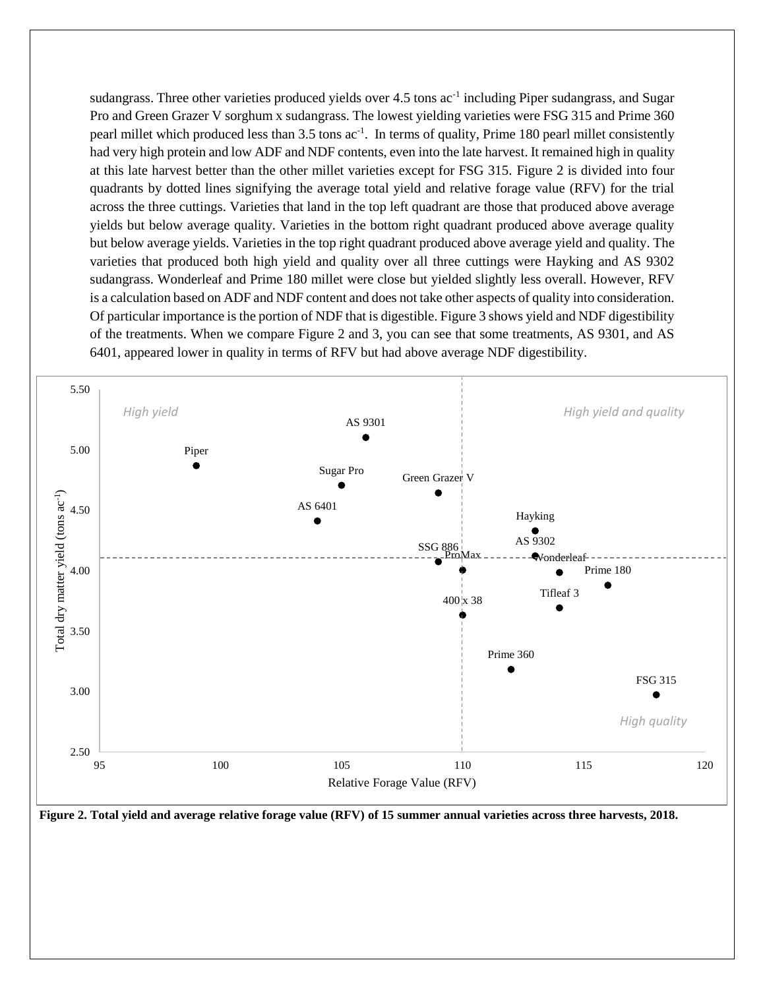sudangrass. Three other varieties produced yields over 4.5 tons ac<sup>-1</sup> including Piper sudangrass, and Sugar Pro and Green Grazer V sorghum x sudangrass. The lowest yielding varieties were FSG 315 and Prime 360 pearl millet which produced less than 3.5 tons  $ac^{-1}$ . In terms of quality, Prime 180 pearl millet consistently had very high protein and low ADF and NDF contents, even into the late harvest. It remained high in quality at this late harvest better than the other millet varieties except for FSG 315. Figure 2 is divided into four quadrants by dotted lines signifying the average total yield and relative forage value (RFV) for the trial across the three cuttings. Varieties that land in the top left quadrant are those that produced above average yields but below average quality. Varieties in the bottom right quadrant produced above average quality but below average yields. Varieties in the top right quadrant produced above average yield and quality. The varieties that produced both high yield and quality over all three cuttings were Hayking and AS 9302 sudangrass. Wonderleaf and Prime 180 millet were close but yielded slightly less overall. However, RFV is a calculation based on ADF and NDF content and does not take other aspects of quality into consideration. Of particular importance is the portion of NDF that is digestible. Figure 3 shows yield and NDF digestibility of the treatments. When we compare Figure 2 and 3, you can see that some treatments, AS 9301, and AS 6401, appeared lower in quality in terms of RFV but had above average NDF digestibility.



**Figure 2. Total yield and average relative forage value (RFV) of 15 summer annual varieties across three harvests, 2018.**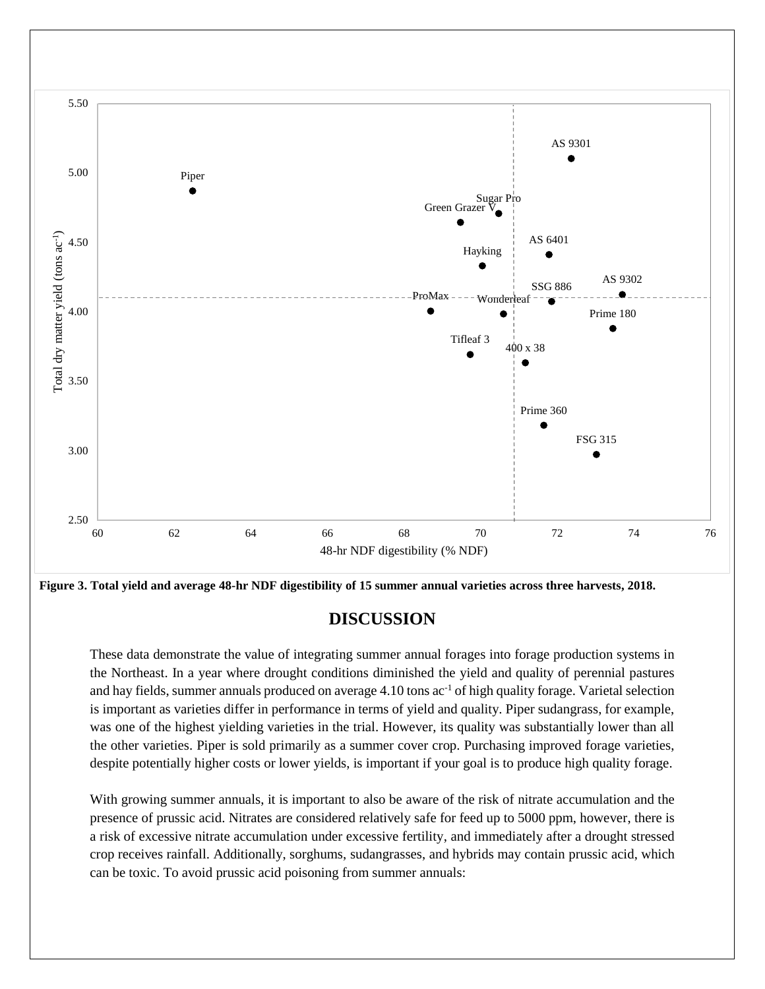

**Figure 3. Total yield and average 48-hr NDF digestibility of 15 summer annual varieties across three harvests, 2018.**

# **DISCUSSION**

These data demonstrate the value of integrating summer annual forages into forage production systems in the Northeast. In a year where drought conditions diminished the yield and quality of perennial pastures and hay fields, summer annuals produced on average 4.10 tons ac<sup>-1</sup> of high quality forage. Varietal selection is important as varieties differ in performance in terms of yield and quality. Piper sudangrass, for example, was one of the highest yielding varieties in the trial. However, its quality was substantially lower than all the other varieties. Piper is sold primarily as a summer cover crop. Purchasing improved forage varieties, despite potentially higher costs or lower yields, is important if your goal is to produce high quality forage.

With growing summer annuals, it is important to also be aware of the risk of nitrate accumulation and the presence of prussic acid. Nitrates are considered relatively safe for feed up to 5000 ppm, however, there is a risk of excessive nitrate accumulation under excessive fertility, and immediately after a drought stressed crop receives rainfall. Additionally, sorghums, sudangrasses, and hybrids may contain prussic acid, which can be toxic. To avoid prussic acid poisoning from summer annuals: